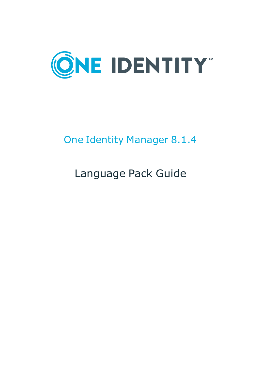

# One Identity Manager 8.1.4

# Language Pack Guide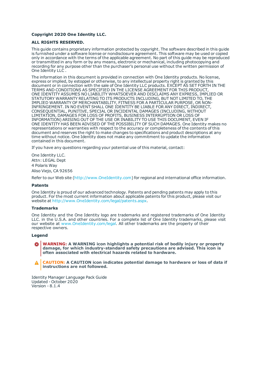### **Copyright 2020 One Identity LLC.**

#### **ALL RIGHTS RESERVED.**

This guide contains proprietary information protected by copyright. The software described in this guide is furnished under a software license or nondisclosure agreement. This software may be used or copied only in accordance with the terms of the applicable agreement. No part of this guide may be reproduced or transmitted in any form or by any means, electronic or mechanical, including photocopying and recording for any purpose other than the purchaser's personal use without the written permission of One Identity LLC .

The information in this document is provided in connection with One Identity products. No license, express or implied, by estoppel or otherwise, to any intellectual property right is granted by this document or in connection with the sale of One Identity LLC products. EXCEPT AS SET FORTH IN THE TERMS AND CONDITIONS AS SPECIFIED IN THE LICENSE AGREEMENT FOR THIS PRODUCT, ONE IDENTITY ASSUMES NO LIABILITY WHATSOEVER AND DISCLAIMS ANY EXPRESS, IMPLIED OR STATUTORY WARRANTY RELATING TO ITS PRODUCTS INCLUDING, BUT NOT LIMITED TO, THE IMPLIED WARRANTY OF MERCHANTABILITY, FITNESS FOR A PARTICULAR PURPOSE, OR NON-INFRINGEMENT. IN NO EVENT SHALL ONE IDENTITY BE LIABLE FOR ANY DIRECT, INDIRECT, CONSEQUENTIAL, PUNITIVE, SPECIAL OR INCIDENTAL DAMAGES (INCLUDING, WITHOUT LIMITATION, DAMAGES FOR LOSS OF PROFITS, BUSINESS INTERRUPTION OR LOSS OF INFORMATION) ARISING OUT OF THE USE OR INABILITY TO USE THIS DOCUMENT, EVEN IF ONE IDENTITY HAS BEEN ADVISED OF THE POSSIBILITY OF SUCH DAMAGES. One Identity makes no representations or warranties with respect to the accuracy or completeness of the contents of this document and reserves the right to make changes to specifications and product descriptions at any time without notice. One Identity does not make any commitment to update the information contained in this document.

If you have any questions regarding your potential use of this material, contact:

One Identity LLC. Attn: LEGAL Dept 4 Polaris Way Aliso Viejo, CA 92656

Refer to our Web site ([http://www.OneIdentity.com](http://www.oneidentity.com/)) for regional and international office information.

#### **Patents**

One Identity is proud of our advanced technology. Patents and pending patents may apply to this product. For the most current information about applicable patents for this product, please visit our website at [http://www.OneIdentity.com/legal/patents.aspx](http://www.oneidentity.com/legal/patents.aspx).

#### **Trademarks**

One Identity and the One Identity logo are trademarks and registered trademarks of One Identity LLC. in the U.S.A. and other countries. For a complete list of One Identity trademarks, please visit our website at [www.OneIdentity.com/legal](http://www.oneidentity.com/legal). All other trademarks are the property of their respective owners.

#### **Legend**

**WARNING: A WARNING icon highlights a potential risk of bodily injury or property damage, for which industry-standard safety precautions are advised. This icon is often associated with electrical hazards related to hardware.**

**CAUTION: A CAUTION icon indicates potential damage to hardware or loss of data if** A **instructions are not followed.**

Identity Manager Language Pack Guide Updated - October 2020 Version - 8.1.4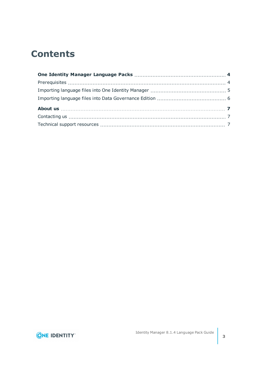### **Contents**

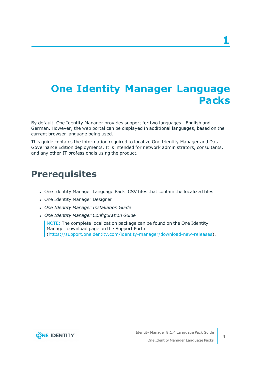# <span id="page-3-0"></span>**One Identity Manager Language Packs**

By default, One Identity Manager provides support for two languages - English and German. However, the web portal can be displayed in additional languages, based on the current browser language being used.

This guide contains the information required to localize One Identity Manager and Data Governance Edition deployments. It is intended for network administrators, consultants, and any other IT professionals using the product.

### <span id="page-3-1"></span>**Prerequisites**

- <sup>l</sup> One Identity Manager Language Pack .CSV files that contain the localized files
- One Identity Manager Designer
- <sup>l</sup> *One Identity Manager Installation Guide*
- <sup>l</sup> *One Identity Manager Configuration Guide*

NOTE: The complete localization package can be found on the One Identity Manager download page on the Support Portal [\(https://support.oneidentity.com/identity-manager/download-new-releases](https://support.oneidentity.com/identity-manager/download-new-releases)).

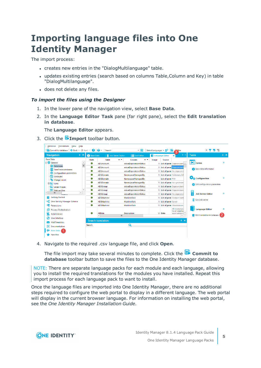# <span id="page-4-0"></span>**Importing language files into One Identity Manager**

The import process:

- creates new entries in the "DialogMultilanguage" table.
- updates existing entries (search based on columns Table, Column and Key) in table "DialogMultilanguage".
- does not delete any files.

### *To import the files using the Designer*

- 1. In the lower pane of the navigation view, select **Base Data**.
- 2. In the **Language Editor Task** pane (far right pane), select the **Edit translation in database**.

The **Language Editor** appears.

3. Click the **Import** toolbar button.

| Database Translations<br>View<br>Help                 |                                                                                                                                            |                                  |                         |       |                       |                                 |                               |     |
|-------------------------------------------------------|--------------------------------------------------------------------------------------------------------------------------------------------|----------------------------------|-------------------------|-------|-----------------------|---------------------------------|-------------------------------|-----|
| Commit to database                                    | $\leftarrow$ Back $\rightarrow$ Next $\rightarrow$<br>a.<br>$-5$<br>R<br>Ø<br>Select Languages $\sim$ 2?<br>Search<br>$3$ <sup>tlter</sup> |                                  |                         |       |                       | 777                             |                               |     |
| <b>Navigation</b><br><b>P</b> X                       | Base Data                                                                                                                                  | Job Server Editor                | <b>E</b> List Editor    |       | Language Editor       | $\left\langle 1 \right\rangle$  | <b>Tasks</b>                  | 4 × |
| <b>Base Data</b>                                      | <b>State</b>                                                                                                                               | $\rightarrow$<br><b>Table</b>    | Column<br>$\rightarrow$ | Usage | Source                |                                 |                               |     |
| General<br>$\wedge$<br>$\equiv$                       | ۰                                                                                                                                          | <b>ADSAccount</b>                | edsvaDeprovisionStatus  |       |                       | 1 List of perm Deprovisioni     | <b>Fig. 1</b> Forms           | 交   |
| €<br>Databases                                        | ۰                                                                                                                                          | <b>ADSAccount</b>                | edsvaDeprovisionStatus  |       |                       | 1 List of perm Deprovisioni     |                               |     |
| O<br><b>TimeTrace databases</b>                       | 6                                                                                                                                          | ADSAccount                       | edsvaDeprovisionStatus  |       |                       | 1 List of perm No deprovisi     | Base data information         |     |
| ぁ<br>Configuration parameters                         | ۰                                                                                                                                          | <b>ADSDomain</b>                 | NamespaceManagedBy      |       |                       | 1 List of perm %Globals.QIN     |                               |     |
| Schedules                                             | ۰                                                                                                                                          | <b>ADSDomain</b>                 | NamespaceManagedBy      |       | List of perm FIM      |                                 | <b>Water Configuration</b>    | 穴   |
| Change labels                                         | ۰                                                                                                                                          | <b>ADSDomain</b>                 | NamespaceManagedBy      |       |                       | 1 List of perm No synchron      |                               |     |
| E La Icons                                            | ۰                                                                                                                                          | <b>ADSGroup</b>                  | edsvaDeprovisionStatus  |       |                       | 1 List of perm Deprovisioni     | Edit configuration parameters |     |
| <b>Large images</b><br>$\checkmark$<br>O Web services | ۰                                                                                                                                          | <b>ADSGroup</b>                  | edsvaDeprovisionStatus  |       |                       | 1 List of perm Deprovisioni     |                               |     |
| $\mathbf{III}$                                        | $\bullet$                                                                                                                                  |                                  |                         |       |                       |                                 | <b>Job Server Editor</b>      | 솠   |
| Б<br><b>Getting Started</b>                           | $\bullet$                                                                                                                                  | ADSGroup                         | edsvaDeprovisionStatus  |       |                       | 1 List of perm No deprovisi     |                               |     |
|                                                       |                                                                                                                                            | <b>ADSMachine</b>                | MachineRole             |       |                       | 1 List of perm Domain cont      | F<br>Edit Job server          |     |
| One Identity Manager Schema<br>æ                      | ●                                                                                                                                          | ADSMachine                       | MachineRole             |       | 1 List of perm Server |                                 |                               |     |
| ËΘ<br>Permissions                                     | $\bullet$                                                                                                                                  | ADSMachine                       | MachineRole             |       |                       | 1 List of perm Workstation      |                               |     |
| <b>Process Orchestration</b>                          |                                                                                                                                            |                                  |                         |       |                       | All resources<br>to all employ- | <b>Language Editor</b>        | 솠   |
| ā<br><b>Script Library</b>                            |                                                                                                                                            | <b>AERole</b>                    | <b>Description</b>      |       | 2 Data                | application r Y                 | Edit translation in database  |     |
| 回<br>User Interface                                   |                                                                                                                                            | Ш<br>ł                           |                         |       |                       | $\rightarrow$                   |                               |     |
| <b>Mail Templates</b>                                 |                                                                                                                                            | <b>Search translation</b><br>4 × |                         |       |                       |                                 |                               |     |
|                                                       | Search                                                                                                                                     |                                  | Q                       |       |                       |                                 |                               |     |
| Documentation<br>⊫                                    |                                                                                                                                            |                                  |                         |       |                       |                                 |                               |     |
| Base Data                                             |                                                                                                                                            |                                  |                         |       |                       |                                 |                               |     |
| <b>Favorites</b>                                      |                                                                                                                                            |                                  |                         |       |                       |                                 |                               |     |
|                                                       |                                                                                                                                            |                                  |                         |       |                       |                                 |                               |     |

4. Navigate to the required .csv language file, and click **Open**.

The file import may take several minutes to complete. Click the **Commit to database** toolbar button to save the files to the One Identity Manager database.

NOTE: There are separate language packs for each module and each language, allowing you to install the required translations for the modules you have installed. Repeat this import process for each language pack to want to install.

Once the language files are imported into One Identity Manager, there are no additional steps required to configure the web portal to display in a different language. The web portal will display in the current browser language. For information on installing the web portal, see the *One Identity Manager Installation Guide*.

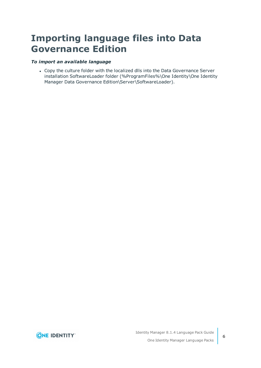### <span id="page-5-0"></span>**Importing language files into Data Governance Edition**

### *To import an available language*

• Copy the culture folder with the localized dlls into the Data Governance Server installation SoftwareLoader folder (%ProgramFiles%\One Identity\One Identity Manager Data Governance Edition\Server\SoftwareLoader).